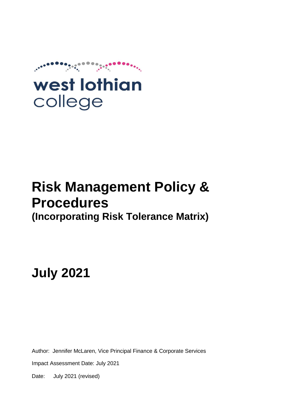

# **Risk Management Policy & Procedures (Incorporating Risk Tolerance Matrix)**

**July 2021**

Author: Jennifer McLaren, Vice Principal Finance & Corporate Services

Impact Assessment Date: July 2021

Date: July 2021 (revised)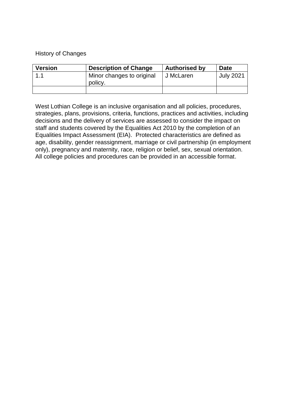## History of Changes

| <b>Version</b> | <b>Description of Change</b> | <b>Authorised by</b> | <b>Date</b>      |
|----------------|------------------------------|----------------------|------------------|
|                | Minor changes to original    | J McLaren            | <b>July 2021</b> |
|                | policy.                      |                      |                  |
|                |                              |                      |                  |

West Lothian College is an inclusive organisation and all policies, procedures, strategies, plans, provisions, criteria, functions, practices and activities, including decisions and the delivery of services are assessed to consider the impact on staff and students covered by the Equalities Act 2010 by the completion of an Equalities Impact Assessment (EIA). Protected characteristics are defined as age, disability, gender reassignment, marriage or civil partnership (in employment only), pregnancy and maternity, race, religion or belief, sex, sexual orientation. All college policies and procedures can be provided in an accessible format.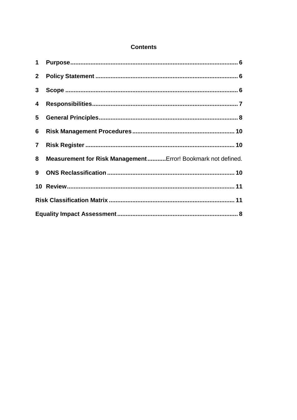## **Contents**

| $1 \quad$      |                                                              |
|----------------|--------------------------------------------------------------|
|                |                                                              |
| $3\phantom{a}$ |                                                              |
| 4              |                                                              |
| 5              |                                                              |
| 6              |                                                              |
| $\overline{7}$ |                                                              |
| 8              | Measurement for Risk Management Error! Bookmark not defined. |
| 9              |                                                              |
|                |                                                              |
|                |                                                              |
|                |                                                              |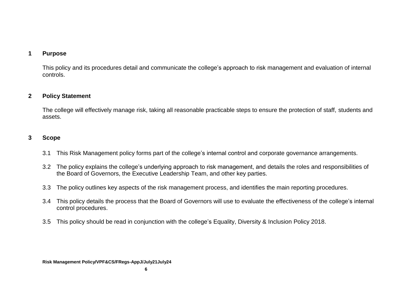## **1 Purpose**

This policy and its procedures detail and communicate the college's approach to risk management and evaluation of internal controls.

## **2 Policy Statement**

The college will effectively manage risk, taking all reasonable practicable steps to ensure the protection of staff, students and assets.

## **3 Scope**

- 3.1 This Risk Management policy forms part of the college's internal control and corporate governance arrangements.
- <span id="page-3-0"></span>3.2 The policy explains the college's underlying approach to risk management, and details the roles and responsibilities of the Board of Governors, the Executive Leadership Team, and other key parties.
- 3.3 The policy outlines key aspects of the risk management process, and identifies the main reporting procedures.
- 3.4 This policy details the process that the Board of Governors will use to evaluate the effectiveness of the college's internal control procedures.
- <span id="page-3-2"></span><span id="page-3-1"></span>3.5 This policy should be read in conjunction with the college's Equality, Diversity & Inclusion Policy 2018.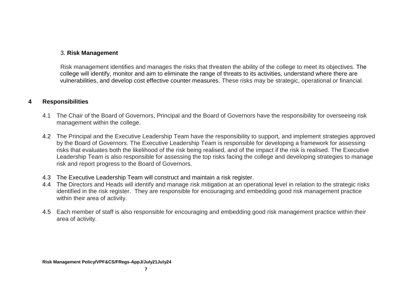## 3. **Risk Management**

Risk management identifies and manages the risks that threaten the ability of the college to meet its objectives. The college will identify, monitor and aim to eliminate the range of threats to its activities, understand where there are vulnerabilities, and develop cost effective counter measures. These risks may be strategic, operational or financial.

## **4 Responsibilities**

- 4.1 The Chair of the Board of Governors, Principal and the Board of Governors have the responsibility for overseeing risk management within the college.
- 4.2 The Principal and the Executive Leadership Team have the responsibility to support, and implement strategies approved by the Board of Governors. The Executive Leadership Team is responsible for developing a framework for assessing risks that evaluates both the likelihood of the risk being realised, and of the impact if the risk is realised. The Executive Leadership Team is also responsible for assessing the top risks facing the college and developing strategies to manage risk and report progress to the Board of Governors.
- 4.3 The Executive Leadership Team will construct and maintain a risk register.
- 4.4 The Directors and Heads will identify and manage risk mitigation at an operational level in relation to the strategic risks identified in the risk register. They are responsible for encouraging and embedding good risk management practice within their area of activity.
- <span id="page-4-0"></span>4.5 Each member of staff is also responsible for encouraging and embedding good risk management practice within their area of activity.

**7**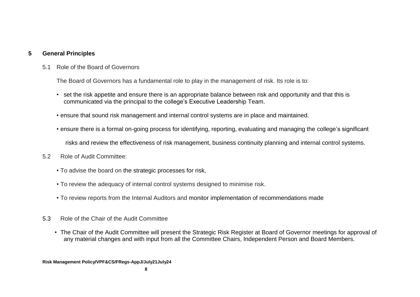## **5 General Principles**

5.1 Role of the Board of Governors

The Board of Governors has a fundamental role to play in the management of risk. Its role is to:

- set the risk appetite and ensure there is an appropriate balance between risk and opportunity and that this is communicated via the principal to the college's Executive Leadership Team.
- ensure that sound risk management and internal control systems are in place and maintained.
- ensure there is a formal on-going process for identifying, reporting, evaluating and managing the college's significant

risks and review the effectiveness of risk management, business continuity planning and internal control systems.

- <span id="page-5-0"></span>5.2 Role of Audit Committee:
	- To advise the board on the strategic processes for risk,
	- To review the adequacy of internal control systems designed to minimise risk.
	- To review reports from the Internal Auditors and monitor implementation of recommendations made
- 5.3 Role of the Chair of the Audit Committee
	- The Chair of the Audit Committee will present the Strategic Risk Register at Board of Governor meetings for approval of any material changes and with input from all the Committee Chairs, Independent Person and Board Members.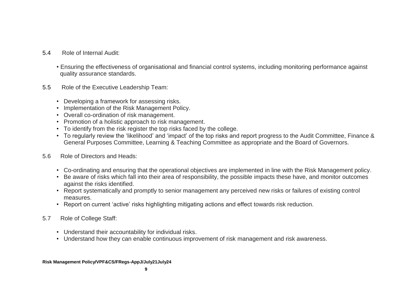- 5.4 Role of Internal Audit:
	- Ensuring the effectiveness of organisational and financial control systems, including monitoring performance against quality assurance standards.
- 5.5 Role of the Executive Leadership Team:
	- Developing a framework for assessing risks.
	- Implementation of the Risk Management Policy.
	- Overall co-ordination of risk management.
	- Promotion of a holistic approach to risk management.
	- To identify from the risk register the top risks faced by the college.
	- To regularly review the 'likelihood' and 'impact' of the top risks and report progress to the Audit Committee, Finance & General Purposes Committee, Learning & Teaching Committee as appropriate and the Board of Governors.
- 5.6 Role of Directors and Heads:
	- Co-ordinating and ensuring that the operational objectives are implemented in line with the Risk Management policy.
	- Be aware of risks which fall into their area of responsibility, the possible impacts these have, and monitor outcomes against the risks identified.
	- Report systematically and promptly to senior management any perceived new risks or failures of existing control measures.
	- Report on current 'active' risks highlighting mitigating actions and effect towards risk reduction.
- 5.7 Role of College Staff:
	- Understand their accountability for individual risks.
	- Understand how they can enable continuous improvement of risk management and risk awareness.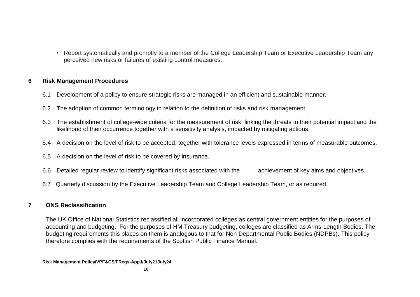• Report systematically and promptly to a member of the College Leadership Team or Executive Leadership Team any perceived new risks or failures of existing control measures.

## **6 Risk Management Procedures**

- 6.1 Development of a policy to ensure strategic risks are managed in an efficient and sustainable manner.
- 6.2 The adoption of common terminology in relation to the definition of risks and risk management.
- 6.3 The establishment of college-wide criteria for the measurement of risk, linking the threats to their potential impact and the likelihood of their occurrence together with a sensitivity analysis, impacted by mitigating actions.
- 6.4 A decision on the level of risk to be accepted, together with tolerance levels expressed in terms of measurable outcomes.
- 6.5 A decision on the level of risk to be covered by insurance.
- 6.6 Detailed regular review to identify significant risks associated with the achievement of key aims and objectives.
- 6.7 Quarterly discussion by the Executive Leadership Team and College Leadership Team, or as required.

## <span id="page-7-0"></span>**7 ONS Reclassification**

<span id="page-7-2"></span><span id="page-7-1"></span>The UK Office of National Statistics reclassified all incorporated colleges as central government entities for the purposes of accounting and budgeting. For the purposes of HM Treasury budgeting, colleges are classified as Arms-Length Bodies. The budgeting requirements this places on them is analogous to that for Non Departmental Public Bodies (NDPBs). This policy therefore complies with the requirements of the Scottish Public Finance Manual.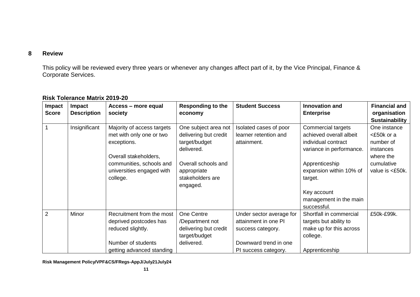## **8 Review**

This policy will be reviewed every three years or whenever any changes affect part of it, by the Vice Principal, Finance & Corporate Services.

<span id="page-8-1"></span><span id="page-8-0"></span>

| Impact<br><b>Score</b> | Impact<br><b>Description</b> | Access – more equal<br>society                                                                                                                                      | <b>Responding to the</b><br>economy                                                                                                                | <b>Student Success</b>                                                                                                 | <b>Innovation and</b><br><b>Enterprise</b>                                                                                                                                                                       | <b>Financial and</b><br>organisation<br><b>Sustainability</b>                                      |
|------------------------|------------------------------|---------------------------------------------------------------------------------------------------------------------------------------------------------------------|----------------------------------------------------------------------------------------------------------------------------------------------------|------------------------------------------------------------------------------------------------------------------------|------------------------------------------------------------------------------------------------------------------------------------------------------------------------------------------------------------------|----------------------------------------------------------------------------------------------------|
|                        | Insignificant                | Majority of access targets<br>met with only one or two<br>exceptions.<br>Overall stakeholders,<br>communities, schools and<br>universities engaged with<br>college. | One subject area not<br>delivering but credit<br>target/budget<br>delivered.<br>Overall schools and<br>appropriate<br>stakeholders are<br>engaged. | Isolated cases of poor<br>learner retention and<br>attainment.                                                         | Commercial targets<br>achieved overall albeit<br>individual contract<br>variance in performance.<br>Apprenticeship<br>expansion within 10% of<br>target.<br>Key account<br>management in the main<br>successful. | One instance<br><£50k or a<br>number of<br>instances<br>where the<br>cumulative<br>value is <£50k. |
| 2                      | Minor                        | Recruitment from the most<br>deprived postcodes has<br>reduced slightly.<br>Number of students<br>getting advanced standing                                         | One Centre<br>/Department not<br>delivering but credit<br>target/budget<br>delivered.                                                              | Under sector average for<br>attainment in one PI<br>success category.<br>Downward trend in one<br>PI success category. | Shortfall in commercial<br>targets but ability to<br>make up for this across<br>college.<br>Apprenticeship                                                                                                       | £50k-£99k.                                                                                         |

## **Risk Tolerance Matrix 2019-20**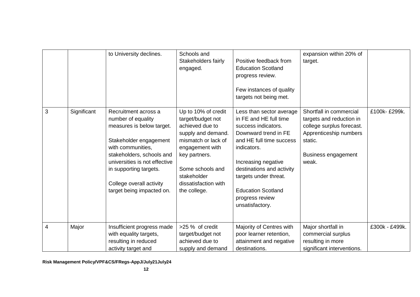|   |             | to University declines.                                                                                                                                                                                                                                                 | Schools and<br>Stakeholders fairly<br>engaged.                                                                                                                                                                          | Positive feedback from<br><b>Education Scotland</b><br>progress review.<br>Few instances of quality<br>targets not being met.                                                                                                                                                                | expansion within 20% of<br>target.                                                                                                                           |                |
|---|-------------|-------------------------------------------------------------------------------------------------------------------------------------------------------------------------------------------------------------------------------------------------------------------------|-------------------------------------------------------------------------------------------------------------------------------------------------------------------------------------------------------------------------|----------------------------------------------------------------------------------------------------------------------------------------------------------------------------------------------------------------------------------------------------------------------------------------------|--------------------------------------------------------------------------------------------------------------------------------------------------------------|----------------|
| 3 | Significant | Recruitment across a<br>number of equality<br>measures is below target.<br>Stakeholder engagement<br>with communities,<br>stakeholders, schools and<br>universities is not effective<br>in supporting targets.<br>College overall activity<br>target being impacted on. | Up to 10% of credit<br>target/budget not<br>achieved due to<br>supply and demand.<br>mismatch or lack of<br>engagement with<br>key partners.<br>Some schools and<br>stakeholder<br>dissatisfaction with<br>the college. | Less than sector average<br>in FE and HE full time<br>success indicators.<br>Downward trend in FE<br>and HE full time success<br>indicators.<br>Increasing negative<br>destinations and activity<br>targets under threat.<br><b>Education Scotland</b><br>progress review<br>unsatisfactory. | Shortfall in commercial<br>targets and reduction in<br>college surplus forecast.<br>Apprenticeship numbers<br>static.<br><b>Business engagement</b><br>weak. | £100k-£299k.   |
| 4 | Major       | Insufficient progress made<br>with equality targets,<br>resulting in reduced<br>activity target and                                                                                                                                                                     | >25 % of credit<br>target/budget not<br>achieved due to<br>supply and demand                                                                                                                                            | Majority of Centres with<br>poor learner retention,<br>attainment and negative<br>destinations.                                                                                                                                                                                              | Major shortfall in<br>commercial surplus<br>resulting in more<br>significant interventions.                                                                  | £300k - £499k. |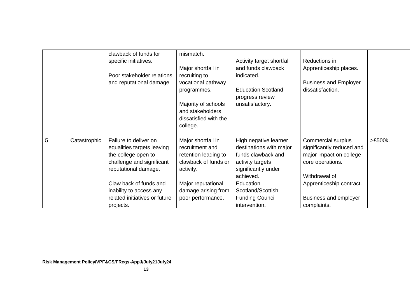|   |              | clawback of funds for<br>specific initiatives.<br>Poor stakeholder relations<br>and reputational damage.                                                                                                                           | mismatch.<br>Major shortfall in<br>recruiting to<br>vocational pathway<br>programmes.<br>Majority of schools<br>and stakeholders<br>dissatisfied with the<br>college. | Activity target shortfall<br>and funds clawback<br>indicated.<br><b>Education Scotland</b><br>progress review<br>unsatisfactory.                                                                            | Reductions in<br>Apprenticeship places.<br><b>Business and Employer</b><br>dissatisfaction.                                                                                         |         |
|---|--------------|------------------------------------------------------------------------------------------------------------------------------------------------------------------------------------------------------------------------------------|-----------------------------------------------------------------------------------------------------------------------------------------------------------------------|-------------------------------------------------------------------------------------------------------------------------------------------------------------------------------------------------------------|-------------------------------------------------------------------------------------------------------------------------------------------------------------------------------------|---------|
| 5 | Catastrophic | Failure to deliver on<br>equalities targets leaving<br>the college open to<br>challenge and significant<br>reputational damage.<br>Claw back of funds and<br>inability to access any<br>related initiatives or future<br>projects. | Major shortfall in<br>recruitment and<br>retention leading to<br>clawback of funds or<br>activity.<br>Major reputational<br>damage arising from<br>poor performance.  | High negative learner<br>destinations with major<br>funds clawback and<br>activity targets<br>significantly under<br>achieved.<br>Education<br>Scotland/Scottish<br><b>Funding Council</b><br>intervention. | Commercial surplus<br>significantly reduced and<br>major impact on college<br>core operations.<br>Withdrawal of<br>Apprenticeship contract.<br>Business and employer<br>complaints. | >£500k. |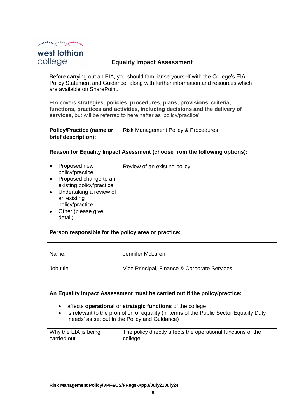$\mathcal{P}^{(n+1)(n+1)} \mathcal{P}^{(n+1)(n)} \mathcal{P}^{(n+1)(n)} \mathcal{P}^{(n+1)(n)} \mathcal{P}^{(n)}$ 

## west lothian college

## **Equality Impact Assessment**

<span id="page-11-0"></span>Before carrying out an EIA, you should familiarise yourself with the College's EIA Policy Statement and Guidance, along with further information and resources which are available on SharePoint.

EIA covers **strategies**, **policies, procedures, plans, provisions, criteria, functions, practices and activities, including decisions and the delivery of services**, but will be referred to hereinafter as 'policy/practice'.

| <b>Policy/Practice (name or</b><br>brief description):                                                                                                                                                            | <b>Risk Management Policy &amp; Procedures</b>                            |  |  |  |
|-------------------------------------------------------------------------------------------------------------------------------------------------------------------------------------------------------------------|---------------------------------------------------------------------------|--|--|--|
|                                                                                                                                                                                                                   | Reason for Equality Impact Asessment (choose from the following options): |  |  |  |
| Proposed new<br>$\bullet$<br>policy/practice<br>Proposed change to an<br>existing policy/practice<br>Undertaking a review of<br>an existing<br>policy/practice<br>Other (please give<br>detail):                  | Review of an existing policy                                              |  |  |  |
| Person responsible for the policy area or practice:                                                                                                                                                               |                                                                           |  |  |  |
| Name:                                                                                                                                                                                                             | Jennifer McLaren                                                          |  |  |  |
| Job title:                                                                                                                                                                                                        | Vice Principal, Finance & Corporate Services                              |  |  |  |
| An Equality Impact Assessment must be carried out if the policy/practice:                                                                                                                                         |                                                                           |  |  |  |
| affects operational or strategic functions of the college<br>is relevant to the promotion of equality (in terms of the Public Sector Equality Duty<br>$\bullet$<br>'needs' as set out in the Policy and Guidance) |                                                                           |  |  |  |
| Why the EIA is being<br>carried out                                                                                                                                                                               | The policy directly affects the operational functions of the<br>college   |  |  |  |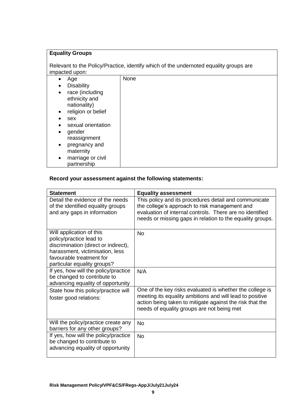## **Equality Groups**

Relevant to the Policy/Practice, identify which of the undernoted equality groups are impacted upon:

| Age<br>$\bullet$                | None |
|---------------------------------|------|
| <b>Disability</b><br>$\bullet$  |      |
| race (including<br>$\bullet$    |      |
| ethnicity and                   |      |
| nationality)                    |      |
| religion or belief<br>$\bullet$ |      |
| sex<br>٠                        |      |
| sexual orientation              |      |
| gender<br>$\bullet$             |      |
| reassignment                    |      |
| pregnancy and<br>$\bullet$      |      |
| maternity                       |      |
| marriage or civil<br>$\bullet$  |      |
| partnership                     |      |

## **Record your assessment against the following statements:**

| <b>Statement</b>                                                                                                                                                                          | <b>Equality assessment</b>                                                                                                                                                                                                      |
|-------------------------------------------------------------------------------------------------------------------------------------------------------------------------------------------|---------------------------------------------------------------------------------------------------------------------------------------------------------------------------------------------------------------------------------|
| Detail the evidence of the needs<br>of the identified equality groups<br>and any gaps in information                                                                                      | This policy and its procedures detail and communicate<br>the college's approach to risk management and<br>evaluation of internal controls. There are no identified<br>needs or missing gaps in relation to the equality groups. |
| Will application of this<br>policy/practice lead to<br>discrimination (direct or indirect),<br>harassment, victimisation, less<br>favourable treatment for<br>particular equality groups? | <b>No</b>                                                                                                                                                                                                                       |
| If yes, how will the policy/practice<br>be changed to contribute to<br>advancing equality of opportunity                                                                                  | N/A                                                                                                                                                                                                                             |
| State how this policy/practice will<br>foster good relations:                                                                                                                             | One of the key risks evaluated is whether the college is<br>meeting its equality ambitions and will lead to positive<br>action being taken to mitigate against the risk that the<br>needs of equality groups are not being met  |
| Will the policy/practice create any<br>barriers for any other groups?                                                                                                                     | <b>No</b>                                                                                                                                                                                                                       |
| If yes, how will the policy/practice<br>be changed to contribute to<br>advancing equality of opportunity                                                                                  | <b>No</b>                                                                                                                                                                                                                       |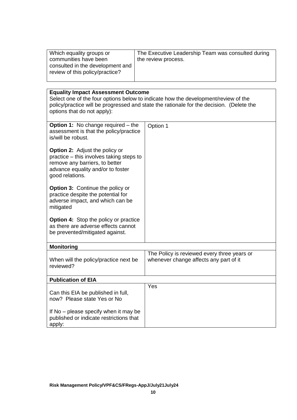| Which equality groups or<br>communities have been<br>consulted in the development and<br>review of this policy/practice?                                                                                                                                   | The Executive Leadership Team was consulted during<br>the review process.             |  |  |  |
|------------------------------------------------------------------------------------------------------------------------------------------------------------------------------------------------------------------------------------------------------------|---------------------------------------------------------------------------------------|--|--|--|
|                                                                                                                                                                                                                                                            |                                                                                       |  |  |  |
| <b>Equality Impact Assessment Outcome</b><br>Select one of the four options below to indicate how the development/review of the<br>policy/practice will be progressed and state the rationale for the decision. (Delete the<br>options that do not apply): |                                                                                       |  |  |  |
| <b>Option 1:</b> No change required – the<br>assessment is that the policy/practice<br>is/will be robust.                                                                                                                                                  | Option 1                                                                              |  |  |  |
| <b>Option 2:</b> Adjust the policy or<br>practice – this involves taking steps to<br>remove any barriers, to better<br>advance equality and/or to foster<br>good relations.                                                                                |                                                                                       |  |  |  |
| <b>Option 3: Continue the policy or</b><br>practice despite the potential for<br>adverse impact, and which can be<br>mitigated                                                                                                                             |                                                                                       |  |  |  |
| <b>Option 4:</b> Stop the policy or practice<br>as there are adverse effects cannot<br>be prevented/mitigated against.                                                                                                                                     |                                                                                       |  |  |  |
| <b>Monitoring</b>                                                                                                                                                                                                                                          |                                                                                       |  |  |  |
| When will the policy/practice next be<br>reviewed?                                                                                                                                                                                                         | The Policy is reviewed every three years or<br>whenever change affects any part of it |  |  |  |
| <b>Publication of EIA</b>                                                                                                                                                                                                                                  |                                                                                       |  |  |  |
| Can this EIA be published in full,<br>now? Please state Yes or No                                                                                                                                                                                          | Yes                                                                                   |  |  |  |
| If No – please specify when it may be<br>published or indicate restrictions that<br>apply:                                                                                                                                                                 |                                                                                       |  |  |  |

٦